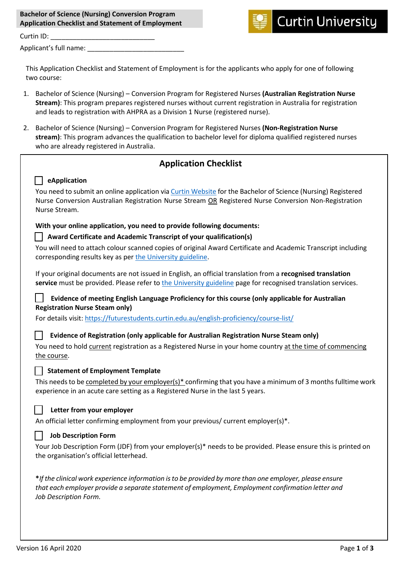| <b>Bachelor of Science (Nursing) Conversion Program</b>  |  |
|----------------------------------------------------------|--|
| <b>Application Checklist and Statement of Employment</b> |  |
|                                                          |  |



Curtin ID: Applicant's full name:

This Application Checklist and Statement of Employment is for the applicants who apply for one of following two course:

- 1. Bachelor of Science (Nursing) Conversion Program for Registered Nurses **(Australian Registration Nurse Stream)**: This program prepares registered nurses without current registration in Australia for registration and leads to registration with AHPRA as a Division 1 Nurse (registered nurse).
- 2. Bachelor of Science (Nursing) Conversion Program for Registered Nurses **(Non-Registration Nurse stream)**: This program advances the qualification to bachelor level for diploma qualified registered nurses who are already registered in Australia.

## **Application Checklist**

# **eApplication**

You need to submit an online application vi[a Curtin Website](https://apply.curtin.edu.au/before-you-start?spkCode=B-NURS) for the Bachelor of Science (Nursing) Registered Nurse Conversion Australian Registration Nurse Stream OR Registered Nurse Conversion Non-Registration Nurse Stream.

#### **With your online application, you need to provide following documents:**

#### **Award Certificate and Academic Transcript of your qualification(s)**

You will need to attach colour scanned copies of original Award Certificate and Academic Transcript including corresponding results key as per [the University guideline.](https://study.curtin.edu.au/applying/scanned-documents-certification-requirements/?rdr=coursefinder)

If your original documents are not issued in English, an official translation from a **recognised translation service** must be provided. Please refer to [the University guideline](https://study.curtin.edu.au/applying/scanned-documents-certification-requirements/?rdr=coursefinder) page for recognised translation services.

## **Evidence of meeting English Language Proficiency for this course (only applicable for Australian Registration Nurse Steam only)**

For details visit: <https://futurestudents.curtin.edu.au/english-proficiency/course-list/>

### **Evidence of Registration (only applicable for Australian Registration Nurse Steam only)**

| You need to hold current registration as a Registered Nurse in your home country at the time of commencing |  |
|------------------------------------------------------------------------------------------------------------|--|
| the course.                                                                                                |  |

### **Statement of Employment Template**

This needs to be completed by your employer(s)\* confirming that you have a minimum of 3 months fulltime work experience in an acute care setting as a Registered Nurse in the last 5 years.

### **Letter from your employer**

An official letter confirming employment from your previous/ current employer(s)\*.

#### **Job Description Form**

Your Job Description Form (JDF) from your employer(s)\* needs to be provided. Please ensure this is printed on the organisation's official letterhead.

**\****If the clinical work experience information is to be provided by more than one employer, please ensure that each employer provide a separate statement of employment, Employment confirmation letter and Job Description Form.*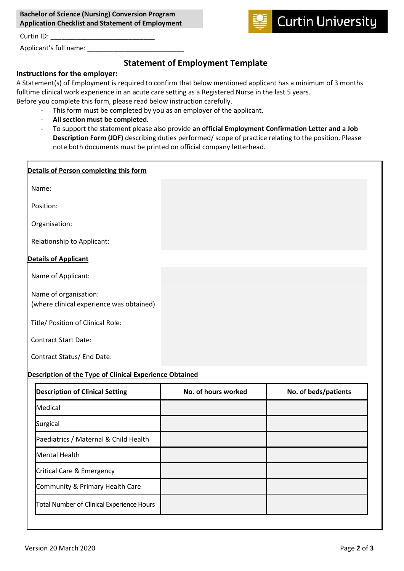| <b>Bachelor of Science (Nursing) Conversion Program</b>  |  |
|----------------------------------------------------------|--|
| <b>Application Checklist and Statement of Employment</b> |  |



Curtin ID: \_\_\_\_\_\_\_\_\_\_\_\_\_\_\_\_\_\_\_\_\_\_\_\_\_\_\_\_

Applicant's full name:

# **Statement of Employment Template**

## **Instructions for the employer:**

A Statement(s) of Employment is required to confirm that below mentioned applicant has a minimum of 3 months fulltime clinical work experience in an acute care setting as a Registered Nurse in the last 5 years. Before you complete this form, please read below instruction carefully.

- This form must be completed by you as an employer of the applicant.
- **All section must be completed.**
- To support the statement please also provide **an official Employment Confirmation Letter and a Job Description Form (JDF)** describing duties performed/ scope of practice relating to the position. Please note both documents must be printed on official company letterhead.

| Details of Person completing this form                            |  |
|-------------------------------------------------------------------|--|
| Name:                                                             |  |
| Position:                                                         |  |
| Organisation:                                                     |  |
| Relationship to Applicant:                                        |  |
| <b>Details of Applicant</b>                                       |  |
| Name of Applicant:                                                |  |
| Name of organisation:<br>(where clinical experience was obtained) |  |
| Title/ Position of Clinical Role:                                 |  |
| <b>Contract Start Date:</b>                                       |  |
| Contract Status/ End Date:                                        |  |

### **Description of the Type of Clinical Experience Obtained**

| <b>Description of Clinical Setting</b>    | No. of hours worked | No. of beds/patients |
|-------------------------------------------|---------------------|----------------------|
| Medical                                   |                     |                      |
| Surgical                                  |                     |                      |
| Paediatrics / Maternal & Child Health     |                     |                      |
| <b>Mental Health</b>                      |                     |                      |
| Critical Care & Emergency                 |                     |                      |
| Community & Primary Health Care           |                     |                      |
| Total Number of Clinical Experience Hours |                     |                      |